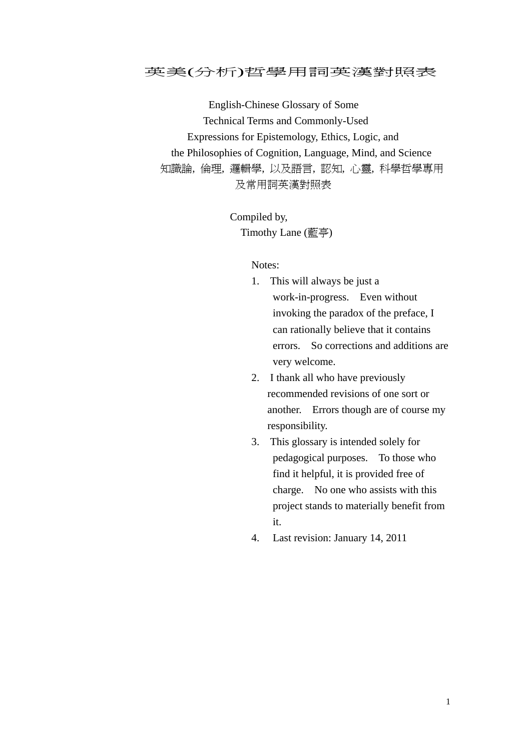## 英美(分析)哲學用詞英漢對照表

 English-Chinese Glossary of Some Technical Terms and Commonly-Used Expressions for Epistemology, Ethics, Logic, and the Philosophies of Cognition, Language, Mind, and Science 知識論, 倫理, 邏輯學, 以及語言, 認知, 心靈, 科學哲學專用 及常用詞英漢對照表

> Compiled by, Timothy Lane (藍亭)

## Notes:

- 1. This will always be just a work-in-progress. Even without invoking the paradox of the preface, I can rationally believe that it contains errors. So corrections and additions are very welcome.
- 2. I thank all who have previously recommended revisions of one sort or another. Errors though are of course my responsibility.
- 3. This glossary is intended solely for pedagogical purposes. To those who find it helpful, it is provided free of charge. No one who assists with this project stands to materially benefit from it.
- 4. Last revision: January 14, 2011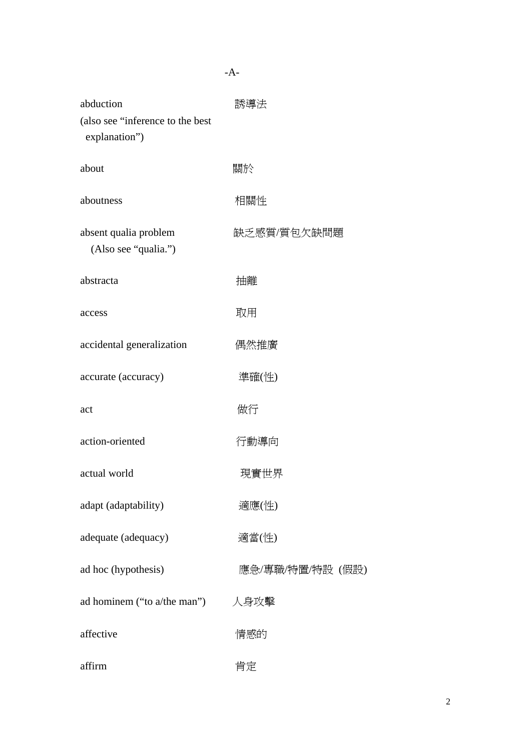| abduction<br>(also see "inference to the best<br>explanation") | 誘導法              |
|----------------------------------------------------------------|------------------|
| about                                                          | 關於               |
| aboutness                                                      | 相關性              |
| absent qualia problem<br>(Also see "qualia.")                  | 缺乏感質/質包欠缺問題      |
| abstracta                                                      | 抽離               |
| access                                                         | 取用               |
| accidental generalization                                      | 偶然推廣             |
| accurate (accuracy)                                            | 準確(性)            |
| act                                                            | 做行               |
| action-oriented                                                | 行動導向             |
| actual world                                                   | 現實世界             |
| adapt (adaptability)                                           | 適應(性)            |
| adequate (adequacy)                                            | 適當(性)            |
| ad hoc (hypothesis)                                            | 應急/專職/特置/特設 (假設) |
| ad hominem ("to a/the man")                                    | 人身攻擊             |
| affective                                                      | 情感的              |
| affirm                                                         | 肯定               |

-A-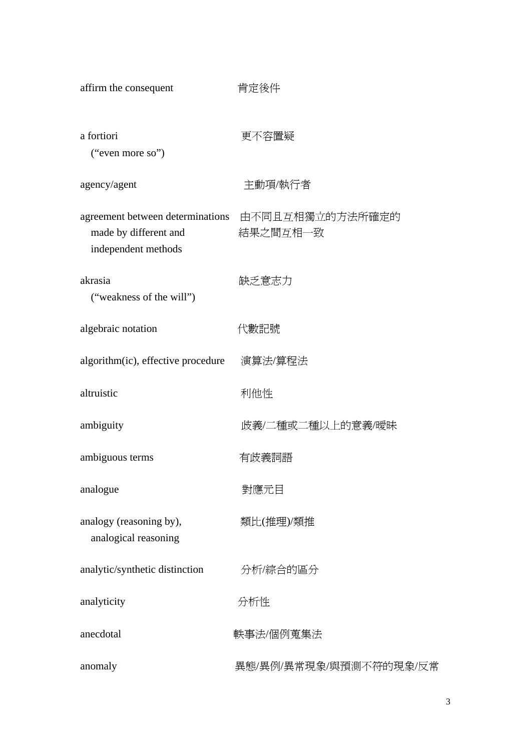| affirm the consequent                                                            | 肯定後件                        |
|----------------------------------------------------------------------------------|-----------------------------|
| a fortiori<br>("even more so")                                                   | 更不容置疑                       |
| agency/agent                                                                     | 主動項/執行者                     |
| agreement between determinations<br>made by different and<br>independent methods | 由不同且互相獨立的方法所確定的<br>結果之間互相一致 |
| akrasia<br>("weakness of the will")                                              | 缺乏意志力                       |
| algebraic notation                                                               | 代數記號                        |
| algorithm(ic), effective procedure                                               | 演算法/算程法                     |
| altruistic                                                                       | 利他性                         |
| ambiguity                                                                        | 歧義/二種或二種以上的意義/曖昧            |
| ambiguous terms                                                                  | 有歧義詞語                       |
| analogue                                                                         | 對應元目                        |
| analogy (reasoning by),<br>analogical reasoning                                  | 類比(推理)/類推                   |
| analytic/synthetic distinction                                                   | 分析/綜合的區分                    |
| analyticity                                                                      | 分析性                         |
| anecdotal                                                                        | 軼事法/個例蒐集法                   |
| anomaly                                                                          | 異態/異例/異常現象/與預測不符的現象/反常      |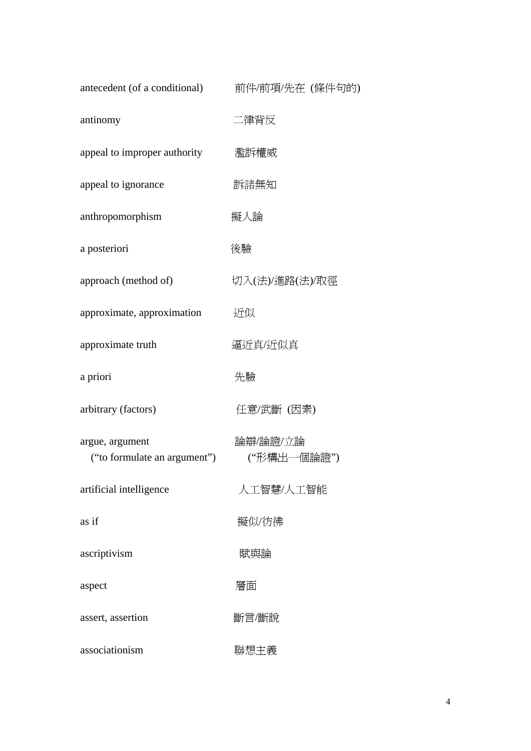| antecedent (of a conditional)                   | 前件/前項/先在 (條件句的)         |
|-------------------------------------------------|-------------------------|
| antinomy                                        | 二律背反                    |
| appeal to improper authority                    | 濫訴權威                    |
| appeal to ignorance                             | 訴諸無知                    |
| anthropomorphism                                | 擬人論                     |
| a posteriori                                    | 後驗                      |
| approach (method of)                            | 切入(法)/進路(法)/取徑          |
| approximate, approximation                      | 近似                      |
| approximate truth                               | 逼近真/近似真                 |
| a priori                                        | 先驗                      |
| arbitrary (factors)                             | 任意/武斷 (因素)              |
| argue, argument<br>("to formulate an argument") | 論辯/論證/立論<br>("形構出一個論證") |
| artificial intelligence                         | 人工智慧/人工智能               |
| as if                                           | 擬似/彷彿                   |
| ascriptivism                                    | 賦與論                     |
| aspect                                          | 層面                      |
| assert, assertion                               | 斷言/斷說                   |
| associationism                                  | 聯想主義                    |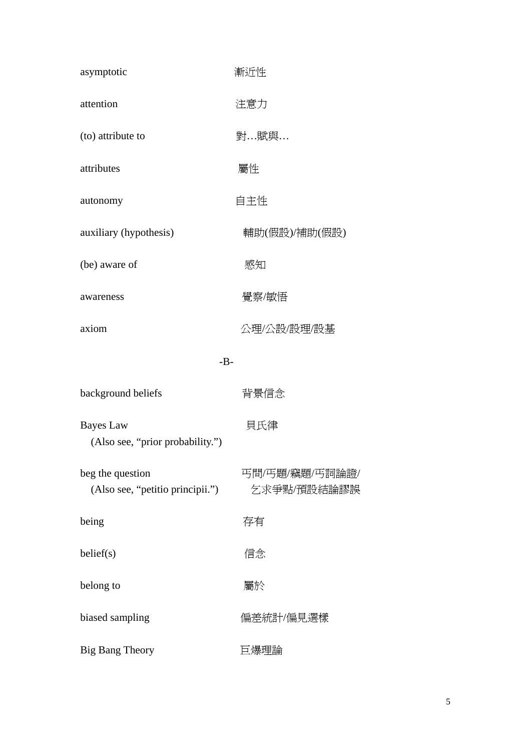| asymptotic                                           | 漸近性                           |
|------------------------------------------------------|-------------------------------|
| attention                                            | 注意力                           |
| (to) attribute to                                    | 對…賦與…                         |
| attributes                                           | 屬性                            |
| autonomy                                             | 自主性                           |
| auxiliary (hypothesis)                               | 輔助(假設)/補助(假設)                 |
| (be) aware of                                        | 感知                            |
| awareness                                            | 覺察/敏悟                         |
| axiom                                                | 公理/公設/設理/設基                   |
| $-B-$                                                |                               |
| background beliefs                                   | 背景信念                          |
| <b>Bayes</b> Law<br>(Also see, "prior probability.") | 貝氏律                           |
| beg the question<br>(Also see, "petitio principii.") | 丐問/丐題/竊題/丐詞論證/<br>乞求爭點/預設結論謬誤 |
| being                                                | 存有                            |
| belief(s)                                            | 信念                            |
| belong to                                            | 屬於                            |
| biased sampling                                      | 偏差統計/偏見選樣                     |
| <b>Big Bang Theory</b>                               | 巨爆理論                          |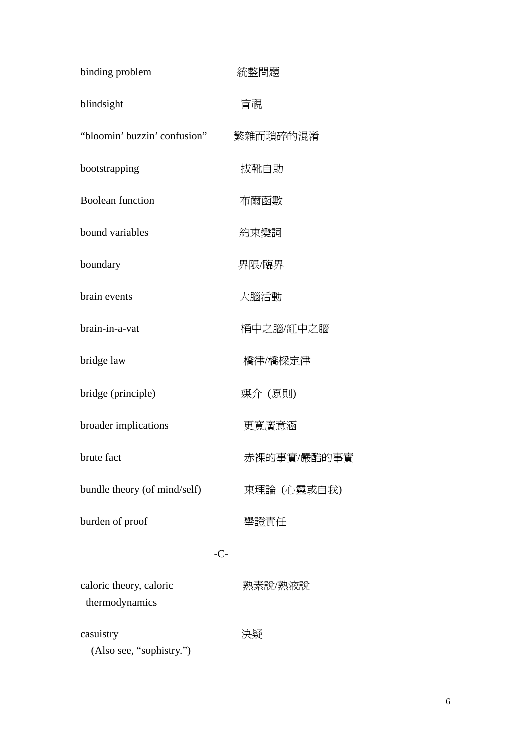| binding problem                           | 統整問題        |
|-------------------------------------------|-------------|
| blindsight                                | 盲視          |
| "bloomin' buzzin' confusion"              | 繁雜而瑣碎的混淆    |
| bootstrapping                             | 拔靴自助        |
| <b>Boolean function</b>                   | 布爾函數        |
| bound variables                           | 約束變詞        |
| boundary                                  | 界限/臨界       |
| brain events                              | 大腦活動        |
| brain-in-a-vat                            | 桶中之腦/缸中之腦   |
| bridge law                                | 橋律/橋樑定律     |
| bridge (principle)                        | 媒介 (原則)     |
| broader implications                      | 更寬廣意涵       |
| brute fact                                | 赤裸的事實/嚴酷的事實 |
| bundle theory (of mind/self)              | 束理論 (心靈或自我) |
| burden of proof                           | 舉證責任        |
|                                           | $-C-$       |
| caloric theory, caloric<br>thermodynamics | 熱素說/熱液說     |
| casuistry<br>(Also see, "sophistry.")     | 決疑          |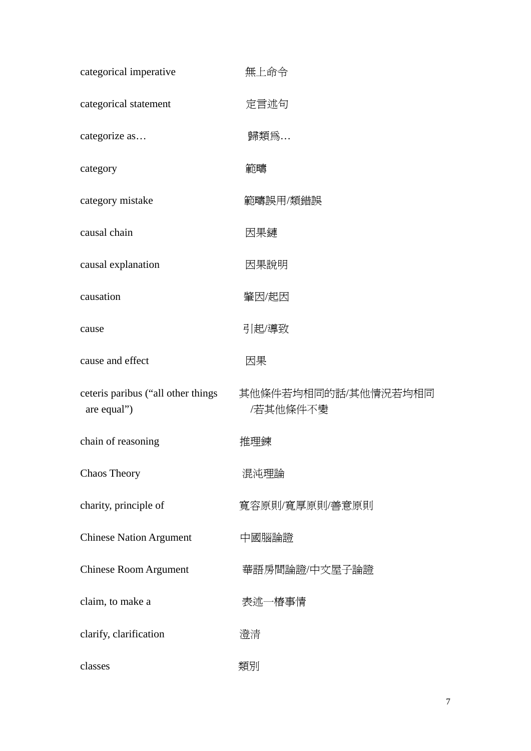| categorical imperative                            | 無上命令                            |
|---------------------------------------------------|---------------------------------|
| categorical statement                             | 定言述句                            |
| categorize as                                     | 歸類爲                             |
| category                                          | 範疇                              |
| category mistake                                  | 範疇誤用/類錯誤                        |
| causal chain                                      | 因果鏈                             |
| causal explanation                                | 因果說明                            |
| causation                                         | 肇因/起因                           |
| cause                                             | 引起/導致                           |
| cause and effect                                  | 因果                              |
| ceteris paribus ("all other things<br>are equal") | 其他條件若均相同的話/其他情況若均相同<br>/若其他條件不變 |
| chain of reasoning                                | 推理鍊                             |
| Chaos Theory                                      | 混沌理論                            |
| charity, principle of                             | 寬容原則/寬厚原則/善意原則                  |
| <b>Chinese Nation Argument</b>                    | 中國腦論證                           |
| <b>Chinese Room Argument</b>                      | 華語房間論證/中文屋子論證                   |
| claim, to make a                                  | 表述一樁事情                          |
| clarify, clarification                            | 澄清                              |
| classes                                           | 類別                              |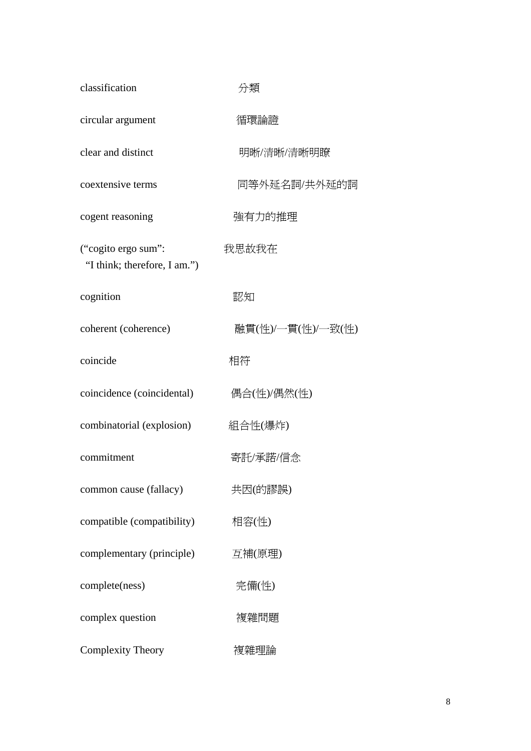| classification                                      | 分類                |
|-----------------------------------------------------|-------------------|
| circular argument                                   | 循環論證              |
| clear and distinct                                  | 明晰/清晰/清晰明瞭        |
| coextensive terms                                   | 同等外延名詞/共外延的詞      |
| cogent reasoning                                    | 強有力的推理            |
| ("cogito ergo sum":<br>"I think; therefore, I am.") | 我思故我在             |
| cognition                                           | 認知                |
| coherent (coherence)                                | 融貫(性)/一貫(性)/一致(性) |
| coincide                                            | 相符                |
| coincidence (coincidental)                          | 偶合(性)/偶然(性)       |
| combinatorial (explosion)                           | 組合性(爆炸)           |
| commitment                                          | 寄託/承諾/信念          |
| common cause (fallacy)                              | 共因(的謬誤)           |
| compatible (compatibility)                          | 相容(性)             |
| complementary (principle)                           | 互補(原理)            |
| complete(ness)                                      | 完備(性)             |
| complex question                                    | 複雜問題              |
| <b>Complexity Theory</b>                            | 複雜理論              |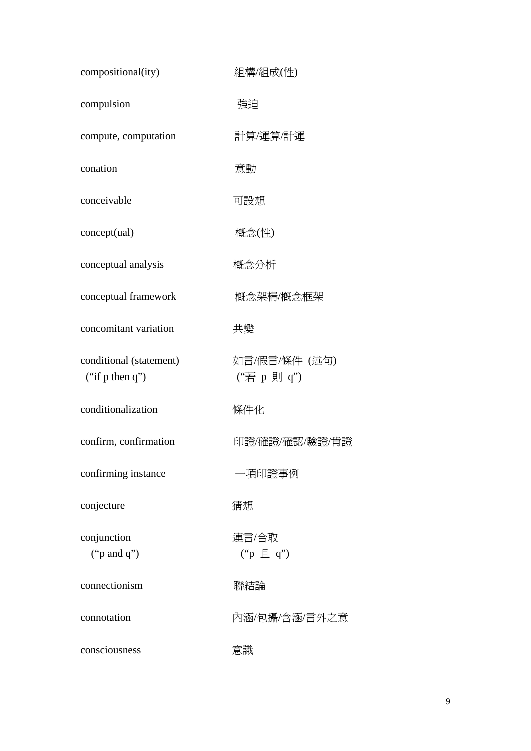| compositional(ity)                         | 組構/組成(性)                         |
|--------------------------------------------|----------------------------------|
| compulsion                                 | 強迫                               |
| compute, computation                       | 計算/運算/計運                         |
| conation                                   | 意動                               |
| conceivable                                | 可設想                              |
| concept(ual)                               | 概念(性)                            |
| conceptual analysis                        | 概念分析                             |
| conceptual framework                       | 概念架構/概念框架                        |
| concomitant variation                      | 共變                               |
| conditional (statement)<br>("if p then q") | 如言/假言/條件 (述句)<br>("若 p 則 q")     |
| conditionalization                         | 條件化                              |
| confirm, confirmation                      | 印證/確證/確認/驗證/肯證                   |
| confirming instance                        | 一項印證事例                           |
| conjecture                                 | 猜想                               |
| conjunction<br>(" $p$ and $q$ ")           | 連言/合取<br>$("p \nvert\exists q")$ |
| connectionism                              | 聯結論                              |
| connotation                                | 內涵/包攝/含涵/言外之意                    |
| consciousness                              | 意識                               |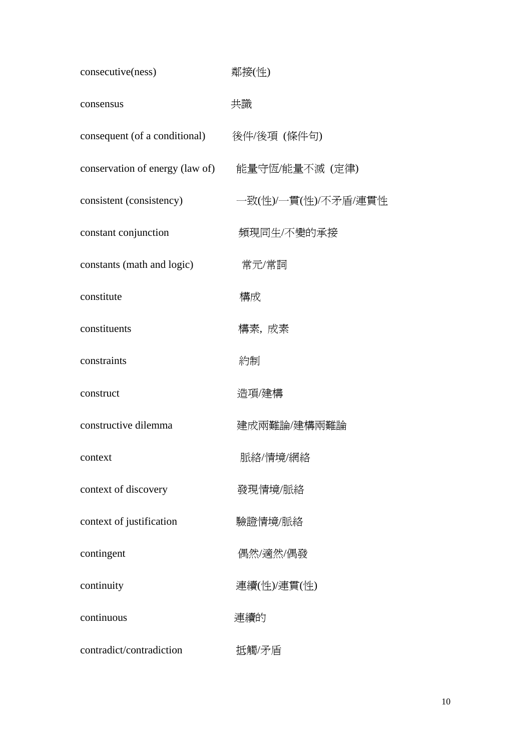| consecutive(ness)                              | 鄰接(性)               |
|------------------------------------------------|---------------------|
| consensus                                      | 共識                  |
| consequent (of a conditional) 後件/後項 (條件句)      |                     |
| conservation of energy (law of) 能量守恆/能量不滅 (定律) |                     |
| consistent (consistency)                       | 一致(性)/一貫(性)/不矛盾/連貫性 |
| constant conjunction                           | 頻現同生/不變的承接          |
| constants (math and logic)                     | 常元/常詞               |
| constitute                                     | 構成                  |
| constituents                                   | 構素, 成素              |
| constraints                                    | 約制                  |
| construct                                      | 造項/建構               |
| constructive dilemma                           | 建成兩難論/建構兩難論         |
| context                                        | 脈絡/情境/網絡            |
| context of discovery                           | 發現情境/脈絡             |
| context of justification                       | 驗證情境/脈絡             |
| contingent                                     | 偶然/適然/偶發            |
| continuity                                     | 連續(性)/連貫(性)         |
| continuous                                     | 連續的                 |
| contradict/contradiction                       | 抵觸/矛盾               |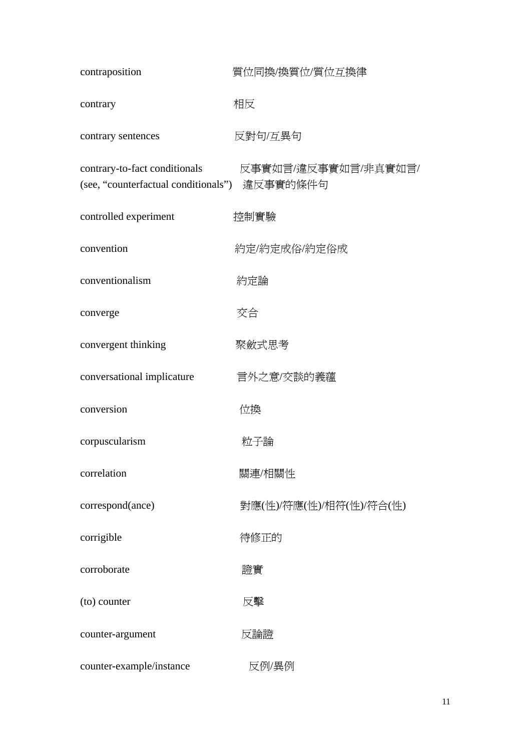| contraposition                                                                 | 質位同換/換質位/質位互換律          |
|--------------------------------------------------------------------------------|-------------------------|
| contrary                                                                       | 相反                      |
| contrary sentences                                                             | 反對句/互異句                 |
| contrary-to-fact conditionals<br>(see, "counterfactual conditionals") 違反事實的條件句 | 反事實如言/違反事實如言/非真實如言/     |
| controlled experiment                                                          | 控制實驗                    |
| convention                                                                     | 約定/約定成俗/約定俗成            |
| conventionalism                                                                | 約定論                     |
| converge                                                                       | 交合                      |
| convergent thinking                                                            | 聚斂式思考                   |
| conversational implicature                                                     | 言外之意/交談的義蘊              |
| conversion                                                                     | 位換                      |
| corpuscularism                                                                 | 粒子論                     |
| correlation                                                                    | 關連/相關性                  |
| correspond(ance)                                                               | 對應(性)/符應(性)/相符(性)/符合(性) |
| corrigible                                                                     | 待修正的                    |
| corroborate                                                                    | 證實                      |
| (to) counter                                                                   | 反擊                      |
| counter-argument                                                               | 反論證                     |
| counter-example/instance                                                       | 反例/異例                   |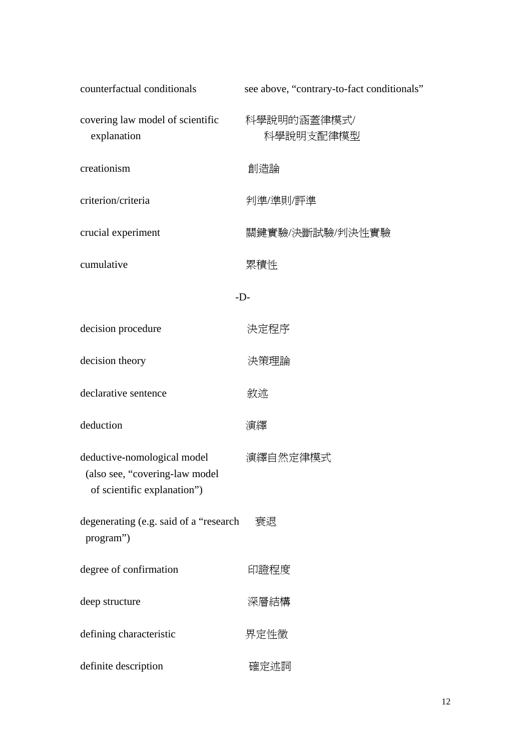| counterfactual conditionals                                                                  | see above, "contrary-to-fact conditionals" |
|----------------------------------------------------------------------------------------------|--------------------------------------------|
| covering law model of scientific<br>explanation                                              | 科學說明的涵蓋律模式/<br>科學說明支配律模型                   |
| creationism                                                                                  | 創造論                                        |
| criterion/criteria                                                                           | 判準/準則/評準                                   |
| crucial experiment                                                                           | 關鍵實驗/決斷試驗/判決性實驗                            |
| cumulative                                                                                   | 累積性                                        |
| $-D-$                                                                                        |                                            |
| decision procedure                                                                           | 決定程序                                       |
| decision theory                                                                              | 決策理論                                       |
| declarative sentence                                                                         | 敘述                                         |
| deduction                                                                                    | 演繹                                         |
| deductive-nomological model<br>(also see, "covering-law model<br>of scientific explanation") | 演繹自然定律模式                                   |
| degenerating (e.g. said of a "research<br>program")                                          | 衰退                                         |
| degree of confirmation                                                                       | 印證程度                                       |
| deep structure                                                                               | 深層結構                                       |
| defining characteristic                                                                      | 界定性徵                                       |
| definite description                                                                         | 確定述詞                                       |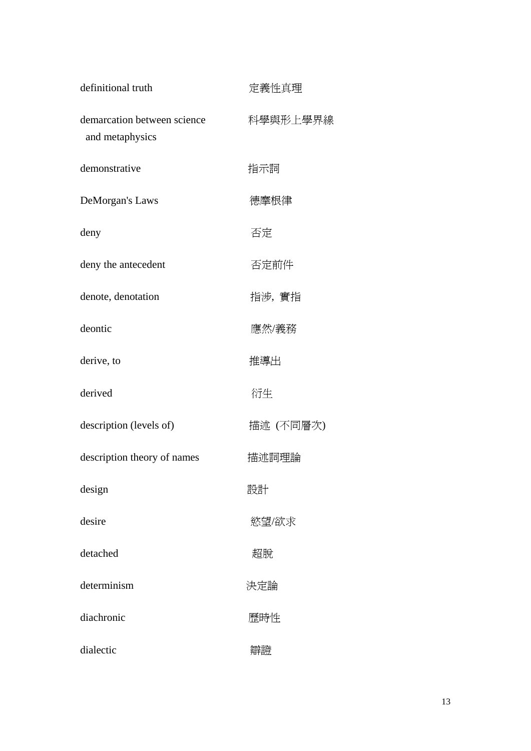| definitional truth                             | 定義性真理     |
|------------------------------------------------|-----------|
| demarcation between science<br>and metaphysics | 科學與形上學界線  |
| demonstrative                                  | 指示詞       |
| DeMorgan's Laws                                | 德摩根律      |
| deny                                           | 否定        |
| deny the antecedent                            | 否定前件      |
| denote, denotation                             | 指涉, 實指    |
| deontic                                        | 應然/義務     |
| derive, to                                     | 推導出       |
| derived                                        | 衍生        |
| description (levels of)                        | 描述 (不同層次) |
| description theory of names                    | 描述詞理論     |
| design                                         | 設計        |
| desire                                         | 慾望/欲求     |
| detached                                       | 超脫        |
| determinism                                    | 決定論       |
| diachronic                                     | 歷時性       |
| dialectic                                      | 辯證        |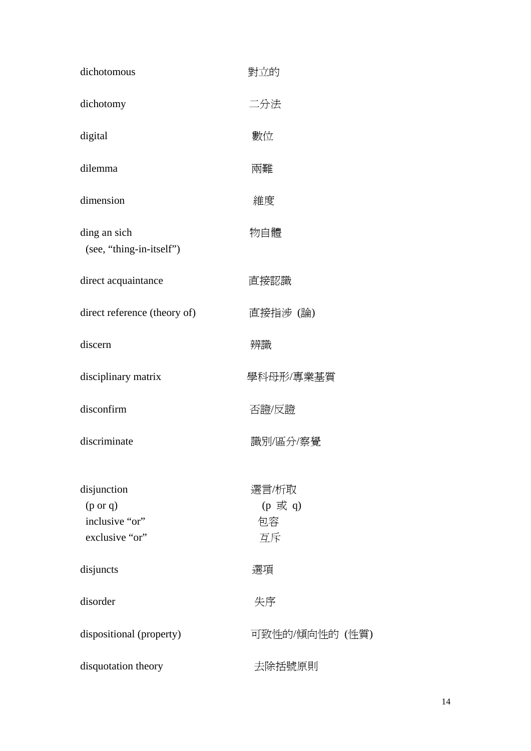| dichotomous                                                            | 對立的                          |
|------------------------------------------------------------------------|------------------------------|
| dichotomy                                                              | 二分法                          |
| digital                                                                | 數位                           |
| dilemma                                                                | 兩難                           |
| dimension                                                              | 維度                           |
| ding an sich<br>(see, "thing-in-itself")                               | 物自體                          |
| direct acquaintance                                                    | 直接認識                         |
| direct reference (theory of)                                           | 直接指涉(論)                      |
| discern                                                                | 辨識                           |
| disciplinary matrix                                                    | 學科母形/專業基質                    |
| disconfirm                                                             | 否證/反證                        |
| discriminate                                                           | 識別/區分/察覺                     |
| disjunction<br>$(p \text{ or } q)$<br>inclusive "or"<br>exclusive "or" | 選言/析取<br>(p 或 q)<br>包容<br>互斥 |
| disjuncts                                                              | 選項                           |
| disorder                                                               | 失序                           |
| dispositional (property)                                               | 可致性的/傾向性的 (性質)               |
| disquotation theory                                                    | 去除括號原則                       |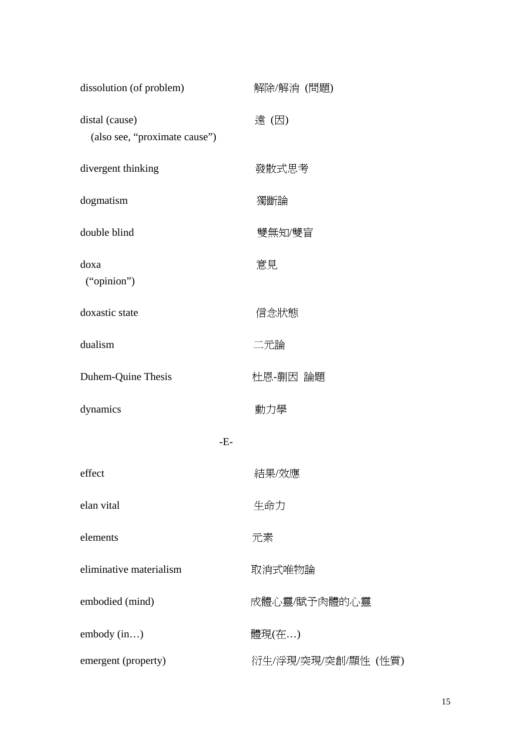| dissolution (of problem)                        | 解除/解消 (問題)          |
|-------------------------------------------------|---------------------|
| distal (cause)<br>(also see, "proximate cause") | 遠(因)                |
| divergent thinking                              | 發散式思考               |
| dogmatism                                       | 獨斷論                 |
| double blind                                    | 雙無知/雙盲              |
| doxa<br>("opinion")                             | 意見                  |
| doxastic state                                  | 信念狀態                |
| dualism                                         | 二元論                 |
| Duhem-Quine Thesis                              | 杜恩-蒯因 論題            |
| dynamics                                        | 動力學                 |
| $-E-$                                           |                     |
| effect                                          | 結果/效應               |
| elan vital                                      | 生命力                 |
| elements                                        | 元素                  |
| eliminative materialism                         | 取消式唯物論              |
| embodied (mind)                                 | 成體心靈/賦予肉體的心靈        |
| embody (in)                                     | 體現(在)               |
| emergent (property)                             | 衍生/浮現/突現/突創/顯性 (性質) |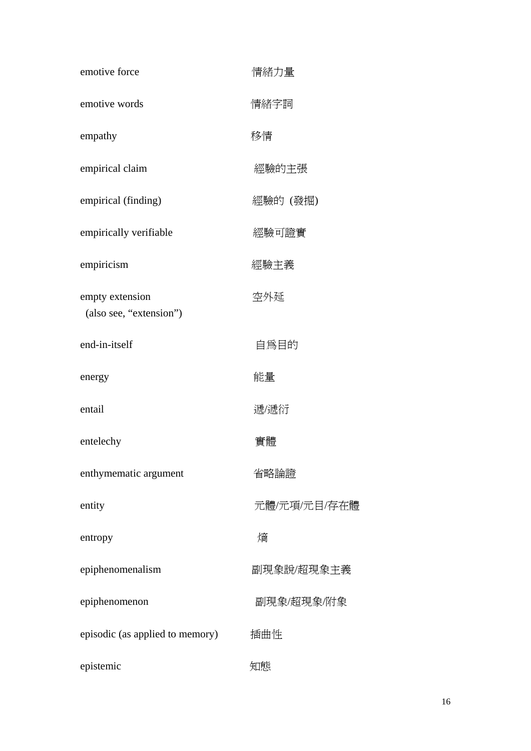| emotive force                              | 情緒力量         |
|--------------------------------------------|--------------|
| emotive words                              | 情緒字詞         |
| empathy                                    | 移情           |
| empirical claim                            | 經驗的主張        |
| empirical (finding)                        | 經驗的 (發掘)     |
| empirically verifiable                     | 經驗可證實        |
| empiricism                                 | 經驗主義         |
| empty extension<br>(also see, "extension") | 空外延          |
| end-in-itself                              | 自爲目的         |
| energy                                     | 能量           |
| entail                                     | 遞/遞衍         |
| entelechy                                  | 實體           |
| enthymematic argument                      | 省略論證         |
| entity                                     | 元體/元項/元目/存在體 |
| entropy                                    | 熵            |
| epiphenomenalism                           | 副現象說/超現象主義   |
| epiphenomenon                              | 副現象/超現象/附象   |
| episodic (as applied to memory)            | 插曲性          |
| epistemic                                  | 知態           |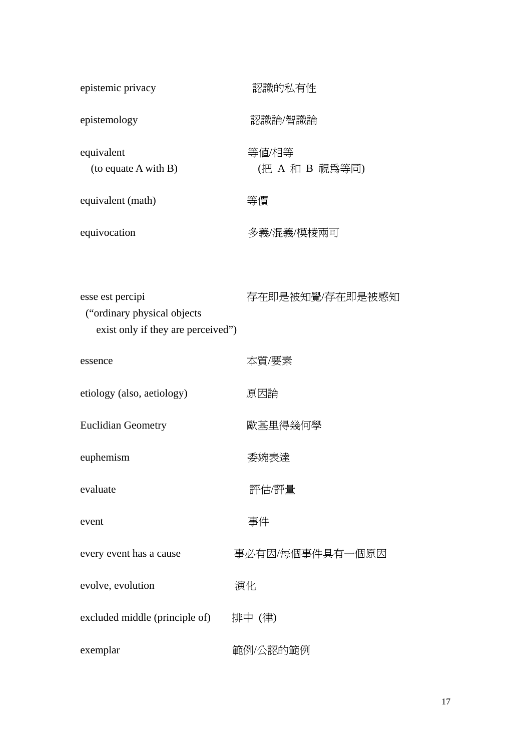| epistemic privacy                                                                       | 認識的私有性                  |
|-----------------------------------------------------------------------------------------|-------------------------|
| epistemology                                                                            | 認識論/智識論                 |
| equivalent<br>(to equate A with B)                                                      | 等値/相等<br>(把 A 和 B 視為等同) |
| equivalent (math)                                                                       | 等價                      |
| equivocation                                                                            | 多義/混義/模棱兩可              |
| esse est percipi<br>("ordinary physical objects")<br>exist only if they are perceived") | 存在即是被知覺/存在即是被感知         |
| essence                                                                                 | 本質/要素                   |
| etiology (also, aetiology)                                                              | 原因論                     |
| <b>Euclidian Geometry</b>                                                               | 歐基里得幾何學                 |
| euphemism                                                                               | 委婉表達                    |
| evaluate                                                                                | 評估/評量                   |
| event                                                                                   | 事件                      |
| every event has a cause                                                                 | 事必有因/每個事件具有一個原因         |
| evolve, evolution                                                                       | 演化                      |
| excluded middle (principle of)                                                          | 排中 (律)                  |
| exemplar                                                                                | 範例/公認的範例                |

17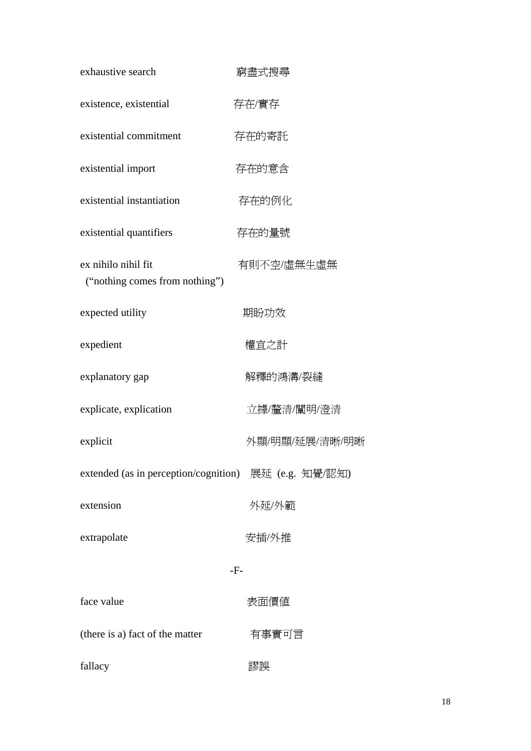| exhaustive search                                     | 窮盡式搜尋          |
|-------------------------------------------------------|----------------|
| existence, existential                                | 存在/實存          |
| existential commitment                                | 存在的寄託          |
| existential import                                    | 存在的意含          |
| existential instantiation                             | 存在的例化          |
| existential quantifiers                               | 存在的量號          |
| ex nihilo nihil fit<br>("nothing comes from nothing") | 有則不空/虛無生虛無     |
| expected utility                                      | 期盼功效           |
| expedient                                             | 權宜之計           |
| explanatory gap                                       | 解釋的鴻溝/裂縫       |
| explicate, explication                                | 立據/釐清/闡明/澄清    |
| explicit                                              | 外顯/明顯/延展/清晰/明晰 |
| extended (as in perception/cognition) 展延 (e.g. 知覺/認知) |                |
| extension                                             | 外延/外範          |
| extrapolate                                           | 安插/外推          |
|                                                       | $-F-$          |
| face value                                            | 表面價值           |
| (there is a) fact of the matter                       | 有事實可言          |
| fallacy                                               | 謬誤             |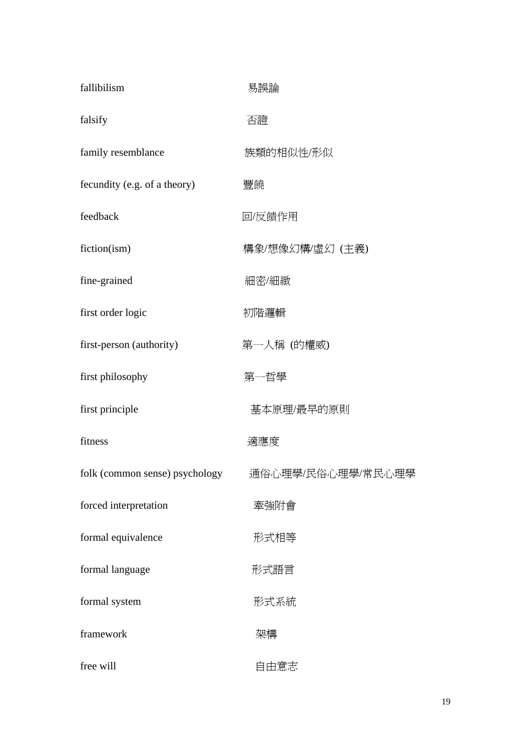| fallibilism                    | 易誤論               |
|--------------------------------|-------------------|
| falsify                        | 否證                |
| family resemblance             | 族類的相似性/形似         |
| fecundity (e.g. of a theory)   | 豐饒                |
| feedback                       | 回/反饋作用            |
| fiction(ism)                   | 構象/想像幻構/虛幻 (主義)   |
| fine-grained                   | 細密/細緻             |
| first order logic              | 初階邏輯              |
| first-person (authority)       | 第一人稱 (的權威)        |
| first philosophy               | 第一哲學              |
| first principle                | 基本原理/最早的原則        |
| fitness                        | 適應度               |
| folk (common sense) psychology | 通俗心理學/民俗心理學/常民心理學 |
| forced interpretation          | 牽強附會              |
| formal equivalence             | 形式相等              |
| formal language                | 形式語言              |
| formal system                  | 形式系統              |
| framework                      | 架構                |
| free will                      | 自由意志              |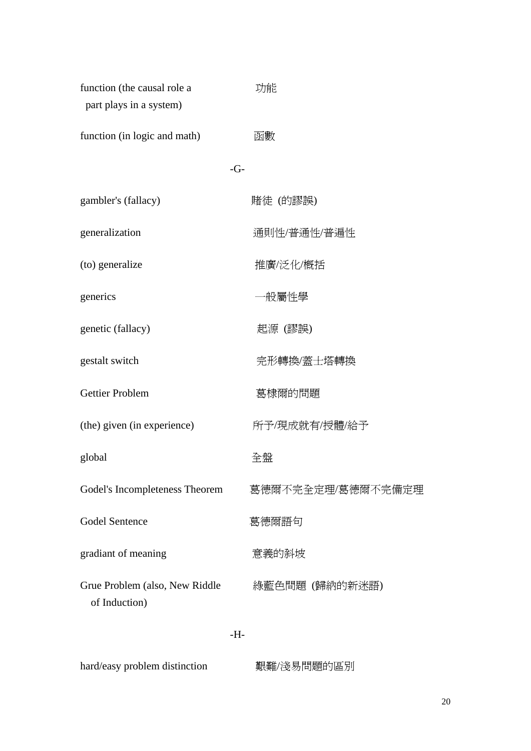| function (the causal role a<br>part plays in a system) | 功能                |
|--------------------------------------------------------|-------------------|
| function (in logic and math)                           | 函數                |
| $-G-$                                                  |                   |
| gambler's (fallacy)                                    | 賭徒 (的謬誤)          |
| generalization                                         | 通則性/普通性/普遍性       |
| (to) generalize                                        | 推廣/泛化/概括          |
| generics                                               | ─般屬性學             |
| genetic (fallacy)                                      | 起源 (謬誤)           |
| gestalt switch                                         | 完形轉換/蓋士塔轉換        |
| <b>Gettier Problem</b>                                 | 葛棣爾的問題            |
| (the) given (in experience)                            | 所予/現成就有/授體/給予     |
| global                                                 | 全盤                |
| Godel's Incompleteness Theorem                         | 葛德爾不完全定理/葛德爾不完備定理 |
| <b>Godel Sentence</b>                                  | 葛德爾語句             |
| gradiant of meaning                                    | 意義的斜坡             |
| Grue Problem (also, New Riddle<br>of Induction)        | 綠藍色問題 (歸納的新迷語)    |
| -H-                                                    |                   |
| hard/easy problem distinction                          | 艱難/淺易問題的區別        |

20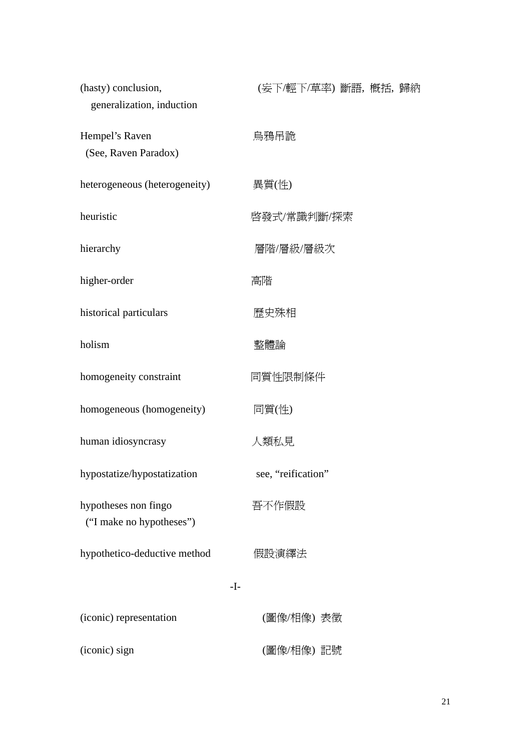| (hasty) conclusion,<br>generalization, induction | (妄下/輕下/草率) 斷語, 概括, 歸納 |  |
|--------------------------------------------------|-----------------------|--|
| Hempel's Raven<br>(See, Raven Paradox)           | 烏鴉吊詭                  |  |
| heterogeneous (heterogeneity)                    | 異質(性)                 |  |
| heuristic                                        | 啓發式/常識判斷/探索           |  |
| hierarchy                                        | 層階/層級/層級次             |  |
| higher-order                                     | 高階                    |  |
| historical particulars                           | 歷史殊相                  |  |
| holism                                           | 整體論                   |  |
| homogeneity constraint                           | 同質性限制條件               |  |
| homogeneous (homogeneity)                        | 同質(性)                 |  |
| human idiosyncrasy                               | 人類私見                  |  |
| hypostatize/hypostatization                      | see, "reification"    |  |
| hypotheses non fingo<br>("I make no hypotheses") | 吾不作假設                 |  |
| hypothetico-deductive method                     | 假設演繹法                 |  |
| $-I-$                                            |                       |  |
| (iconic) representation                          | (圖像/相像) 表徵            |  |
| (iconic) sign                                    | (圖像/相像) 記號            |  |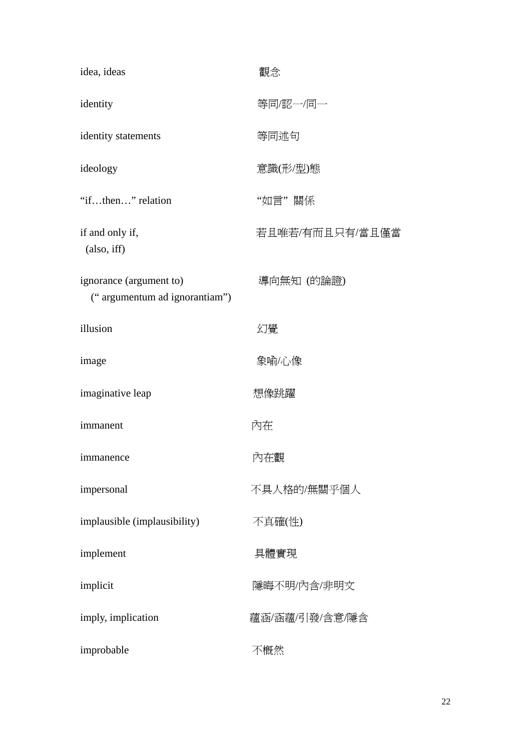| idea, ideas                                              | 觀念              |
|----------------------------------------------------------|-----------------|
| identity                                                 | 等同/認一/同一        |
| identity statements                                      | 等同述句            |
| ideology                                                 | 意識(形/型)態        |
| "ifthen" relation                                        | "如言"關係          |
| if and only if,<br>(also, iff)                           | 若且唯若/有而且只有/當且僅當 |
| ignorance (argument to)<br>("argumentum ad ignorantiam") | 導向無知 (的論證)      |
| illusion                                                 | 幻覺              |
| image                                                    | 象喻/心像           |
| imaginative leap                                         | 想像跳躍            |
| immanent                                                 | 內在              |
| immanence                                                | 内在觀             |
| impersonal                                               | 不具人格的/無關乎個人     |
| implausible (implausibility)                             | 不真確(性)          |
| implement                                                | 具體實現            |
| implicit                                                 | 隱晦不明/內含/非明文     |
| imply, implication                                       | 蘊涵/涵蘊/引發/含意/隱含  |
| improbable                                               | 不概然             |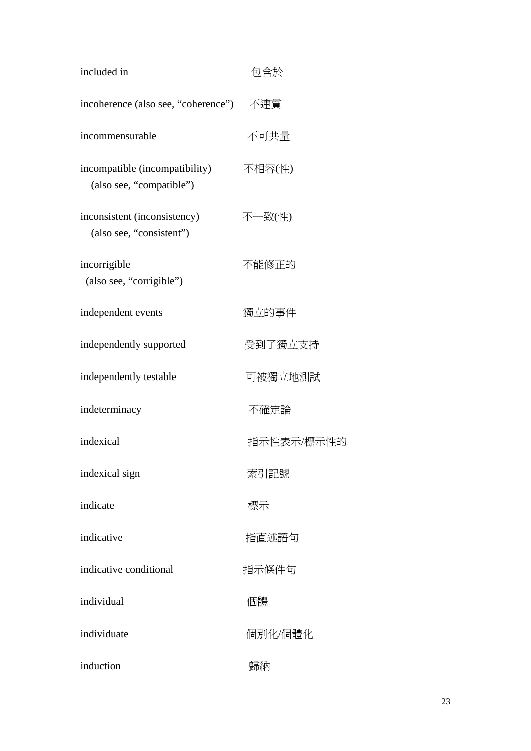| included in                                                | 包含於        |
|------------------------------------------------------------|------------|
| incoherence (also see, "coherence") 不連貫                    |            |
| incommensurable                                            | 不可共量       |
| incompatible (incompatibility)<br>(also see, "compatible") | 不相容(性)     |
| inconsistent (inconsistency)<br>(also see, "consistent")   | 不一致(性)     |
| incorrigible<br>(also see, "corrigible")                   | 不能修正的      |
| independent events                                         | 獨立的事件      |
| independently supported                                    | 受到了獨立支持    |
| independently testable                                     | 可被獨立地測試    |
| indeterminacy                                              | 不確定論       |
| indexical                                                  | 指示性表示/標示性的 |
| indexical sign                                             | 索引記號       |
| indicate                                                   | 標示         |
| indicative                                                 | 指直述語句      |
| indicative conditional                                     | 指示條件句      |
| individual                                                 | 個體         |
| individuate                                                | 個別化/個體化    |
| induction                                                  | 歸納         |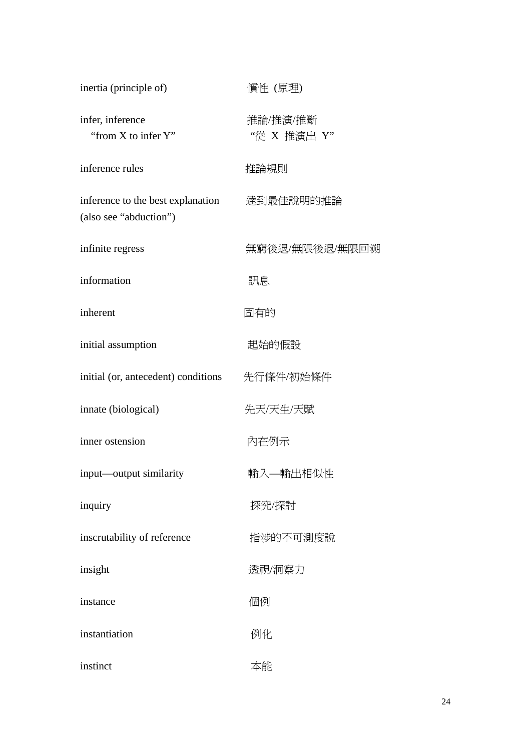| inertia (principle of)                                      | 慣性 (原理)                 |
|-------------------------------------------------------------|-------------------------|
| infer, inference<br>"from X to infer Y"                     | 推論/推演/推斷<br>"從 X 推演出 Y" |
| inference rules                                             | 推論規則                    |
| inference to the best explanation<br>(also see "abduction") | 達到最佳說明的推論               |
| infinite regress                                            | 無窮後退/無限後退/無限回溯          |
| information                                                 | 訊息                      |
| inherent                                                    | 固有的                     |
| initial assumption                                          | 起始的假設                   |
| initial (or, antecedent) conditions                         | 先行條件/初始條件               |
| innate (biological)                                         | 先天/天生/天賦                |
| inner ostension                                             | 內在例示                    |
| input—output similarity                                     | 輸入—輸出相似性                |
| inquiry                                                     | 探究/探討                   |
| inscrutability of reference                                 | 指涉的不可測度說                |
| insight                                                     | 透視/洞察力                  |
| instance                                                    | 個例                      |
| instantiation                                               | 例化                      |
| instinct                                                    | 本能                      |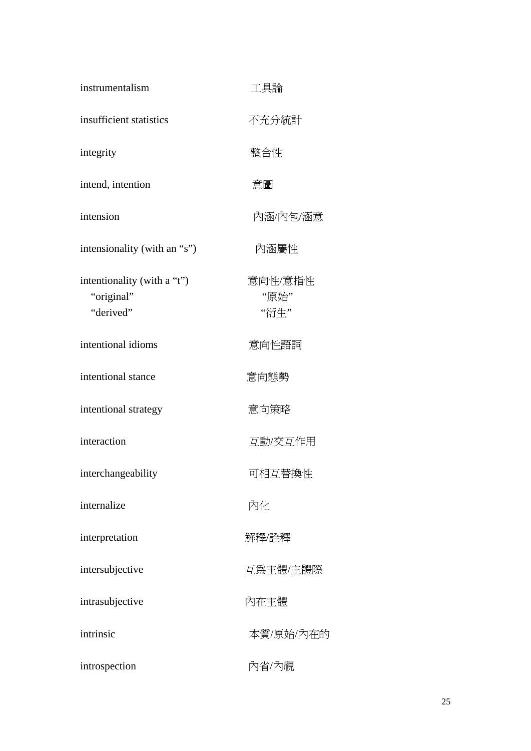| instrumentalism                                        | 工具論                     |
|--------------------------------------------------------|-------------------------|
| insufficient statistics                                | 不充分統計                   |
| integrity                                              | 整合性                     |
| intend, intention                                      | 意圖                      |
| intension                                              | 內涵/內包/涵意                |
| intensionality (with an "s")                           | 內涵屬性                    |
| intentionality (with a "t")<br>"original"<br>"derived" | 意向性/意指性<br>"原始"<br>"衍生" |
| intentional idioms                                     | 意向性語詞                   |
| intentional stance                                     | 意向態勢                    |
| intentional strategy                                   | 意向策略                    |
| interaction                                            | 互動/交互作用                 |
| interchangeability                                     | 可相互替換性                  |
| internalize                                            | 內化                      |
| interpretation                                         | 解釋/詮釋                   |
| intersubjective                                        | 互為主體/主體際                |
| intrasubjective                                        | 內在主體                    |
| intrinsic                                              | 本質/原始/內在的               |
| introspection                                          | 內省/內視                   |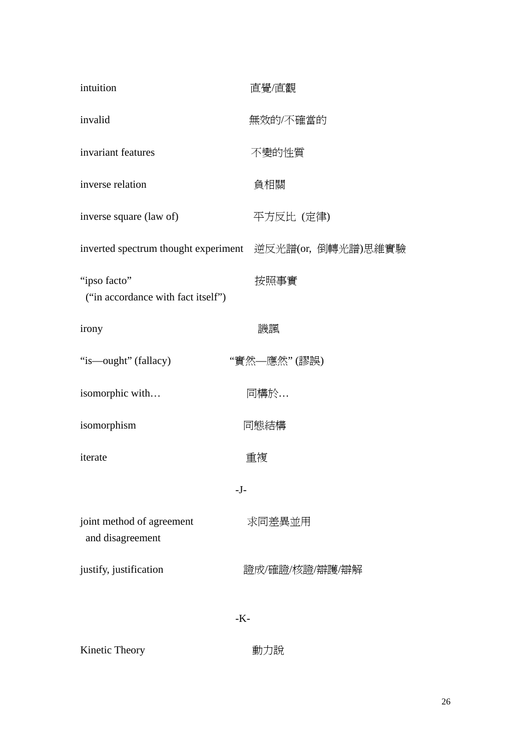| intuition                                               | 直覺/直觀          |  |
|---------------------------------------------------------|----------------|--|
| invalid                                                 | 無效的/不確當的       |  |
| invariant features                                      | 不變的性質          |  |
| inverse relation                                        | 負相關            |  |
| inverse square (law of)                                 | 平方反比 (定律)      |  |
| inverted spectrum thought experiment 逆反光譜(or, 倒轉光譜)思維實驗 |                |  |
| "ipso facto"<br>("in accordance with fact itself")      | 按照事實           |  |
| irony                                                   | 譏諷             |  |
| "is—ought" (fallacy)                                    | "實然—應然"(謬誤)    |  |
| isomorphic with                                         | 同構於            |  |
| isomorphism                                             | 同態結構           |  |
| iterate                                                 | 重複             |  |
| $-J-$                                                   |                |  |
| joint method of agreement<br>and disagreement           | 求同差異並用         |  |
| justify, justification                                  | 證成/確證/核證/辯護/辯解 |  |
| $-K$ -                                                  |                |  |

Kinetic Theory **動力說**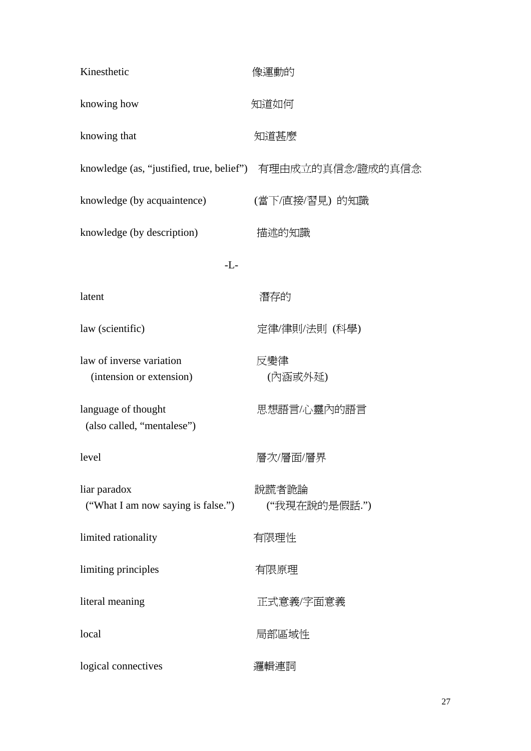| Kinesthetic                                          | 像運動的                                                       |
|------------------------------------------------------|------------------------------------------------------------|
| knowing how                                          | 知道如何                                                       |
| knowing that                                         | 知道甚麼                                                       |
|                                                      | knowledge (as, "justified, true, belief") 有理由成立的真信念/證成的真信念 |
| knowledge (by acquaintence)                          | (當下/直接/習見) 的知識                                             |
| knowledge (by description)                           | 描述的知識                                                      |
| $-L$ -                                               |                                                            |
| latent                                               | 潛存的                                                        |
| law (scientific)                                     | 定律/律則/法則 (科學)                                              |
| law of inverse variation<br>(intension or extension) | 反變律<br>(內涵或外延)                                             |
| language of thought<br>(also called, "mentalese")    | 思想語言/心靈內的語言                                                |
| level                                                | 層次/層面/層界                                                   |
| liar paradox<br>("What I am now saying is false.")   | 說謊者詭論<br>("我現在說的是假話.")                                     |
| limited rationality                                  | 有限理性                                                       |
| limiting principles                                  | 有限原理                                                       |
| literal meaning                                      | 正式意義/字面意義                                                  |
| local                                                | 局部區域性                                                      |
| logical connectives                                  | 邏輯運詞                                                       |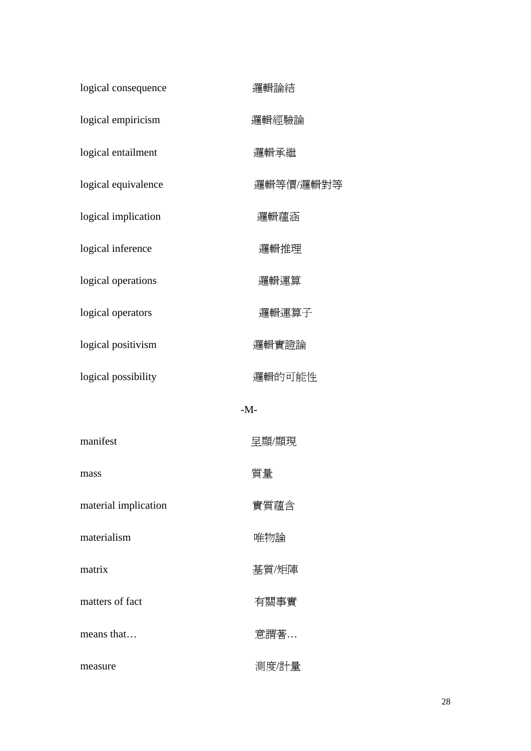| logical consequence  | 邏輯論結      |
|----------------------|-----------|
| logical empiricism   | 邏輯經驗論     |
| logical entailment   | 邏輯承繼      |
| logical equivalence  | 邏輯等價/邏輯對等 |
| logical implication  | 邏輯蘊涵      |
| logical inference    | 邏輯推理      |
| logical operations   | 邏輯運算      |
| logical operators    | 邏輯運算子     |
| logical positivism   | 邏輯實證論     |
| logical possibility  | 邏輯的可能性    |
|                      | $-M$ -    |
| manifest             | 呈顯/顯現     |
| mass                 | 質量        |
| material implication | 實質蘊含      |
| materialism          | 唯物論       |
| matrix               | 基質/矩陣     |
| matters of fact      | 有關事實      |
| means that           | 意謂著       |
| measure              | 測度/計量     |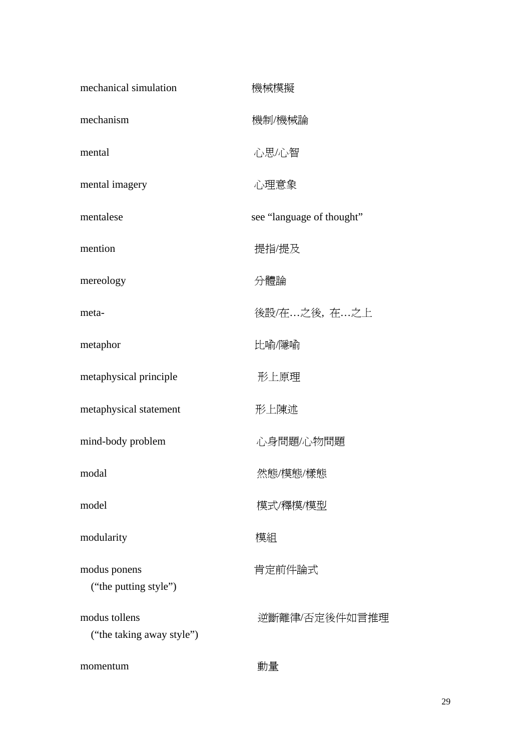| mechanical simulation                      | 機械模擬                      |
|--------------------------------------------|---------------------------|
| mechanism                                  | 機制/機械論                    |
| mental                                     | 心思/心智                     |
| mental imagery                             | 心理意象                      |
| mentalese                                  | see "language of thought" |
| mention                                    | 提指/提及                     |
| mereology                                  | 分體論                       |
| meta-                                      | 後設/在之後,在之上                |
| metaphor                                   | 比喻/隱喻                     |
| metaphysical principle                     | 形上原理                      |
| metaphysical statement                     | 形上陳述                      |
| mind-body problem                          | 心身問題/心物問題                 |
| modal                                      | 然態/模態/樣態                  |
| model                                      | 模式/釋模/模型                  |
| modularity                                 | 模組                        |
| modus ponens<br>("the putting style")      | 肯定前件論式                    |
| modus tollens<br>("the taking away style") | 逆斷離律/否定後件如言推理             |
| momentum                                   | 動量                        |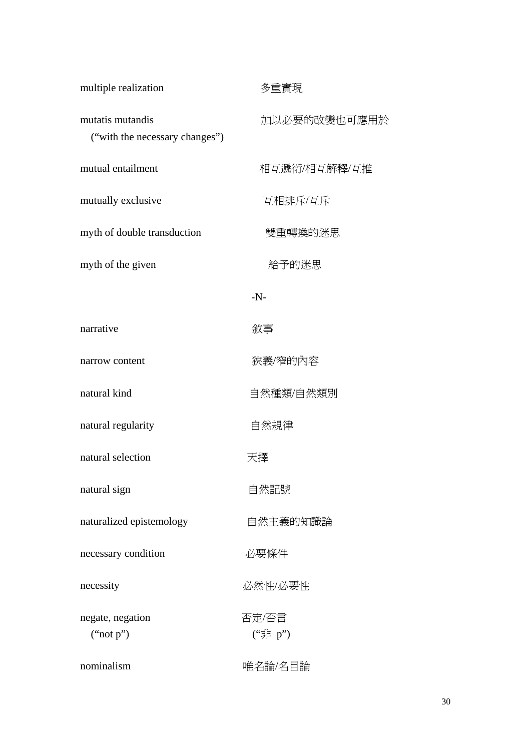| multiple realization                               | 多重實現             |
|----------------------------------------------------|------------------|
| mutatis mutandis<br>("with the necessary changes") | 加以必要的改變也可應用於     |
| mutual entailment                                  | 相互遞衍/相互解釋/互推     |
| mutually exclusive                                 | 互相排斥/互斥          |
| myth of double transduction                        | 雙重轉換的迷思          |
| myth of the given                                  | 給予的迷思            |
|                                                    | $-N$ -           |
| narrative                                          | 敘事               |
| narrow content                                     | 狹義/窄的內容          |
| natural kind                                       | 自然種類/自然類別        |
| natural regularity                                 | 自然規律             |
| natural selection                                  | 大擇               |
| natural sign                                       | 自然記號             |
| naturalized epistemology                           | 自然主義的知識論         |
| necessary condition                                | 必要條件             |
| necessity                                          | 必然性/必要性          |
| negate, negation<br>("not p")                      | 否定/否言<br>("非 p") |
| nominalism                                         | 唯名論/名目論          |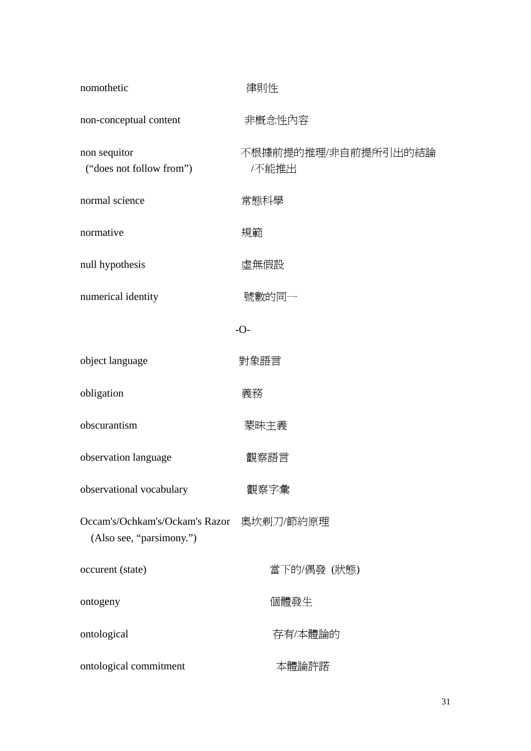| nomothetic                                                 | 律則性                         |  |
|------------------------------------------------------------|-----------------------------|--|
| non-conceptual content                                     | 非概念性內容                      |  |
| non sequitor<br>("does not follow from")                   | 不根據前提的推理/非自前提所引出的結論<br>不能推出 |  |
| normal science                                             | 常態科學                        |  |
| normative                                                  | 規範                          |  |
| null hypothesis                                            | 虛無假設                        |  |
| numerical identity                                         | 號數的同一                       |  |
| $-O-$                                                      |                             |  |
| object language                                            | 對象語言                        |  |
| obligation                                                 | 義務                          |  |
| obscurantism                                               | 蒙昧主義                        |  |
| observation language                                       | 觀察語言                        |  |
| observational vocabulary                                   | 觀察字彙                        |  |
| Occam's/Ochkam's/Ockam's Razor<br>(Also see, "parsimony.") | 奧坎剃刀/節約原理                   |  |
| occurent (state)                                           | 當下的/偶發 (狀態)                 |  |
| ontogeny                                                   | 個體發生                        |  |
| ontological                                                | 存有/本體論的                     |  |
| ontological commitment                                     | 本體論許諾                       |  |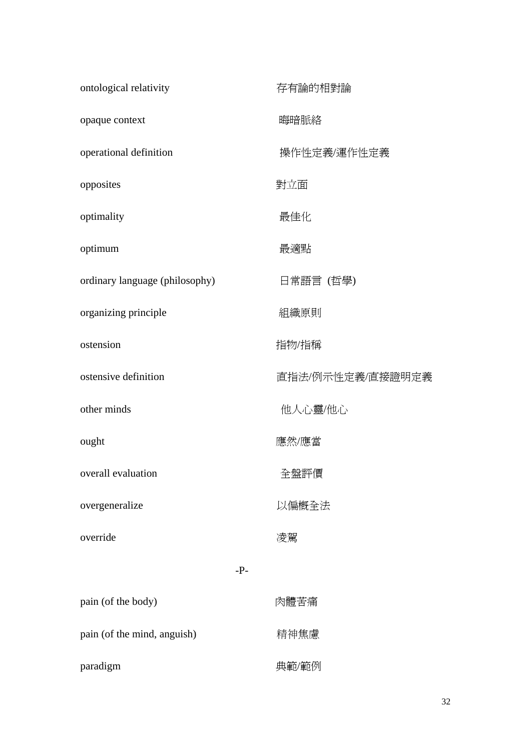| ontological relativity         | 存有論的相對論          |
|--------------------------------|------------------|
| opaque context                 | 晦暗脈絡             |
| operational definition         | 操作性定義/運作性定義      |
| opposites                      | 對立面              |
| optimality                     | 最佳化              |
| optimum                        | 最適點              |
| ordinary language (philosophy) | 日常語言 (哲學)        |
| organizing principle           | 組織原則             |
| ostension                      | 指物/指稱            |
| ostensive definition           | 直指法/例示性定義/直接證明定義 |
| other minds                    | 他人心靈/他心          |
| ought                          | 應然/應當            |
| overall evaluation             | 全盤評價             |
| overgeneralize                 | 以偏概全法            |
| override                       | 凌駕               |
| $-P-$                          |                  |
| pain (of the body)             | 肉體苦痛             |
| pain (of the mind, anguish)    | 精神焦慮             |
| paradigm                       | 典範/範例            |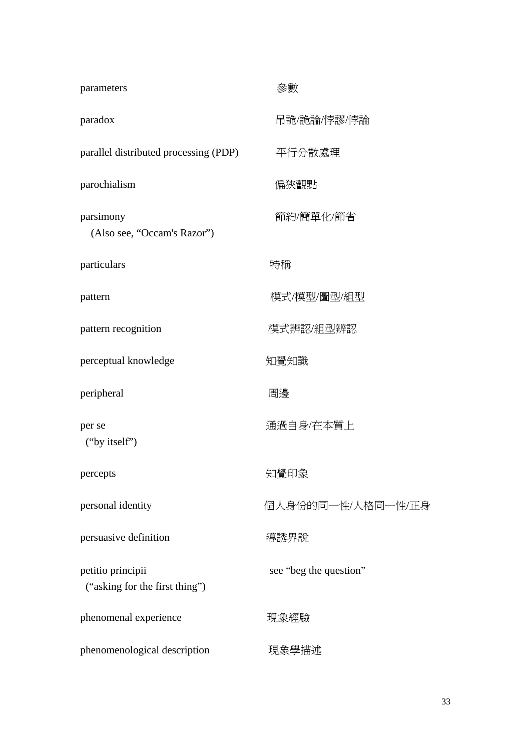| parameters                                          | 參數                     |
|-----------------------------------------------------|------------------------|
| paradox                                             | 吊詭/詭論/悖謬/悖論            |
| parallel distributed processing (PDP)               | 平行分散處理                 |
| parochialism                                        | 偏狹觀點                   |
| parsimony<br>(Also see, "Occam's Razor")            | 節約/簡單化/節省              |
| particulars                                         | 特稱                     |
| pattern                                             | 模式/模型/圖型/組型            |
| pattern recognition                                 | 模式辨認/組型辨認              |
| perceptual knowledge                                | 知覺知識                   |
| peripheral                                          | 周邊                     |
| per se<br>("by itself")                             | 通過自身/在本質上              |
| percepts                                            | 知覺印象                   |
| personal identity                                   | 個人身份的同一性/人格同一性/正身      |
| persuasive definition                               | 導誘界說                   |
| petitio principii<br>("asking for the first thing") | see "beg the question" |
| phenomenal experience                               | 現象經驗                   |
| phenomenological description                        | 現象學描述                  |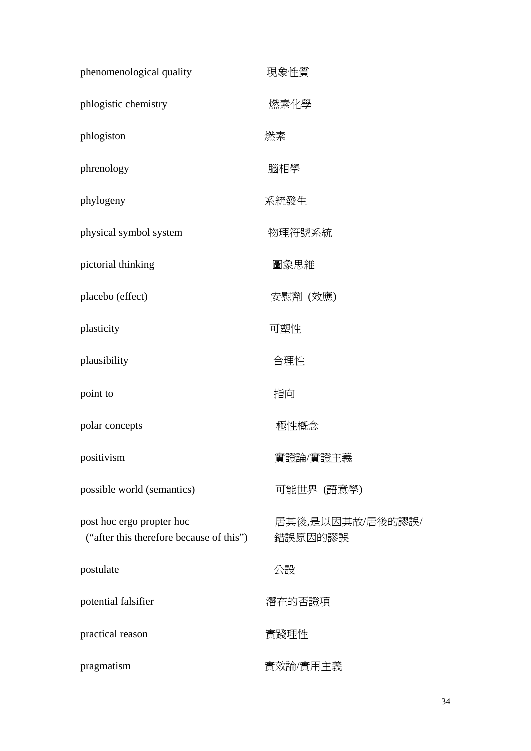| phenomenological quality                                              | 現象性質                        |
|-----------------------------------------------------------------------|-----------------------------|
| phlogistic chemistry                                                  | 燃素化學                        |
| phlogiston                                                            | 燃素                          |
| phrenology                                                            | 腦相學                         |
| phylogeny                                                             | 系統發生                        |
| physical symbol system                                                | 物理符號系統                      |
| pictorial thinking                                                    | 圖象思維                        |
| placebo (effect)                                                      | 安慰劑 (效應)                    |
| plasticity                                                            | 可塑性                         |
| plausibility                                                          | 合理性                         |
| point to                                                              | 指向                          |
| polar concepts                                                        | 極性概念                        |
| positivism                                                            | 實證論/實證主義                    |
| possible world (semantics)                                            | 可能世界 (語意學)                  |
| post hoc ergo propter hoc<br>("after this therefore because of this") | 居其後,是以因其故/居後的謬誤/<br>錯誤原因的謬誤 |
| postulate                                                             | 公設                          |
| potential falsifier                                                   | 潛在的否證項                      |
| practical reason                                                      | 實踐理性                        |
| pragmatism                                                            | 實效論/實用主義                    |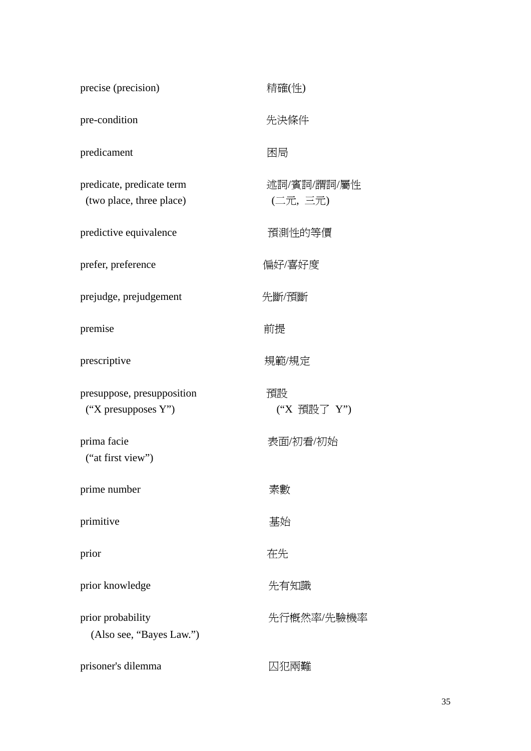| precise (precision)                                   | 精確(性)                  |
|-------------------------------------------------------|------------------------|
| pre-condition                                         | 先決條件                   |
| predicament                                           | 困局                     |
| predicate, predicate term<br>(two place, three place) | 述詞/賓詞/謂詞/屬性<br>(二元,三元) |
| predictive equivalence                                | 預測性的等價                 |
| prefer, preference                                    | 偏好/喜好度                 |
| prejudge, prejudgement                                | 先斷/預斷                  |
| premise                                               | 前提                     |
| prescriptive                                          | 規範/規定                  |
| presuppose, presupposition<br>("X presupposes $Y$ ")  | 預設<br>("X 預設了 Y")      |
| prima facie<br>("at first view")                      | 表面/初看/初始               |
| prime number                                          | 素數                     |
| primitive                                             | 基始                     |
| prior                                                 | 在先                     |
| prior knowledge                                       | 先有知識                   |
| prior probability<br>(Also see, "Bayes Law.")         | 先行概然率/先驗機率             |
| prisoner's dilemma                                    | 囚犯兩難                   |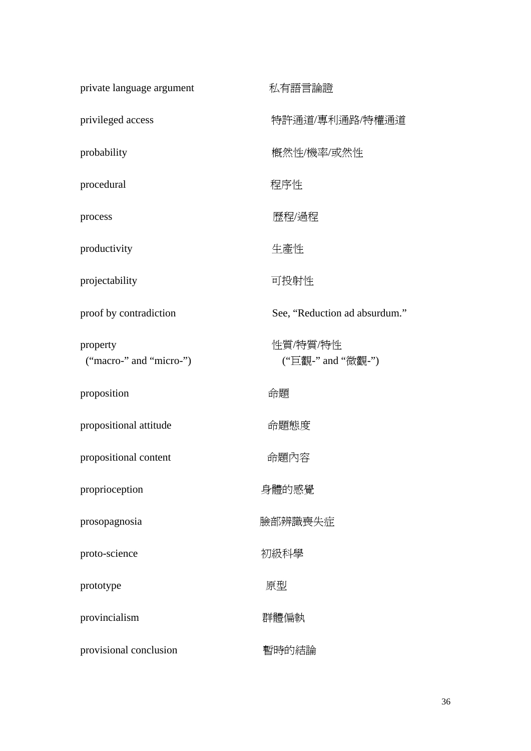| private language argument           | 私有語言論證                        |
|-------------------------------------|-------------------------------|
| privileged access                   | 特許通道/專利通路/特權通道                |
| probability                         | 概然性/機率/或然性                    |
| procedural                          | 程序性                           |
| process                             | 歷程/過程                         |
| productivity                        | 生產性                           |
| projectability                      | 可投射性                          |
| proof by contradiction              | See, "Reduction ad absurdum." |
| property<br>("macro-" and "micro-") | 性質/特質/特性<br>("巨觀-" and "微觀-") |
| proposition                         | 命題                            |
| propositional attitude              | 命題態度                          |
| propositional content               | 命題內容                          |
| proprioception                      | 身體的感覺                         |
| prosopagnosia                       | 臉部辨識喪失症                       |
| proto-science                       | 初級科學                          |
| prototype                           | 原型                            |
| provincialism                       | 群體偏執                          |
| provisional conclusion              | 暫時的結論                         |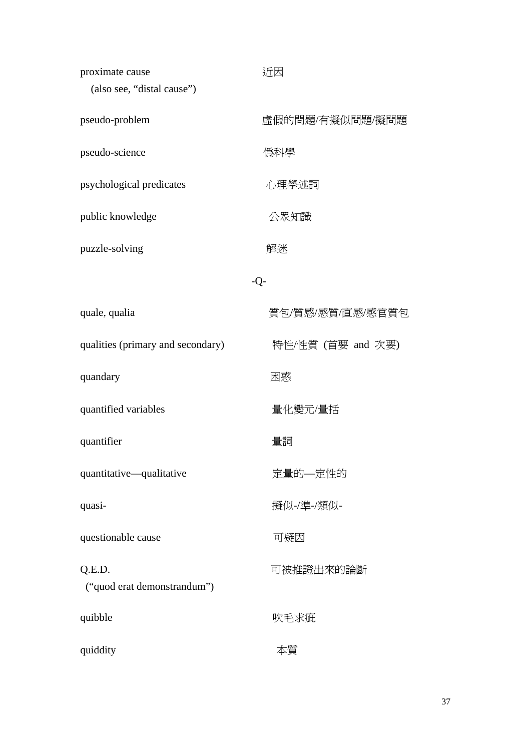| proximate cause<br>(also see, "distal cause") | 近因                |
|-----------------------------------------------|-------------------|
| pseudo-problem                                | 虛假的問題/有擬似問題/擬問題   |
| pseudo-science                                | 僞科學               |
| psychological predicates                      | 心理學述詞             |
| public knowledge                              | 公眾知識              |
| puzzle-solving                                | 解迷                |
|                                               | $-Q-$             |
| quale, qualia                                 | 質包/質感/感質/直感/感官質包  |
| qualities (primary and secondary)             | 特性/性質 (首要 and 次要) |
| quandary                                      | 困惑                |
| quantified variables                          | 量化變元/量括           |
| quantifier                                    | 量詞                |
| quantitative—qualitative                      | 定量的—定性的           |
| quasi-                                        | 擬似-/準-/類似-        |
| questionable cause                            | 可疑因               |
| Q.E.D.<br>("quod erat demonstrandum")         | 可被推證出來的論斷         |
| quibble                                       | 吹毛求疵              |
| quiddity                                      | 本質                |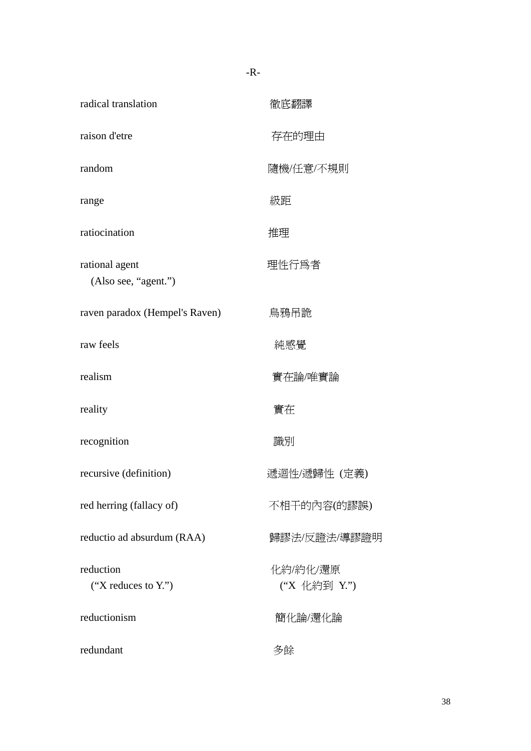| radical translation                    | 徹底翻譯                     |
|----------------------------------------|--------------------------|
| raison d'etre                          | 存在的理由                    |
| random                                 | 隨機/任意/不規則                |
| range                                  | 級距                       |
| ratiocination                          | 推理                       |
| rational agent<br>(Also see, "agent.") | 理性行爲者                    |
| raven paradox (Hempel's Raven)         | 鳥鴉吊詭                     |
| raw feels                              | 純感覺                      |
| realism                                | 實在論/唯實論                  |
| reality                                | 實在                       |
| recognition                            | 識別                       |
| recursive (definition)                 | 遞迴性/遞歸性 (定義)             |
| red herring (fallacy of)               | 不相干的內容(的謬誤)              |
| reductio ad absurdum (RAA)             | 歸謬法/反證法/導謬證明             |
| reduction<br>("X reduces to $Y$ .")    | 化約/約化/還原<br>("X 化約到 Y.") |
| reductionism                           | 簡化論/還化論                  |
| redundant                              | 多餘                       |

-R-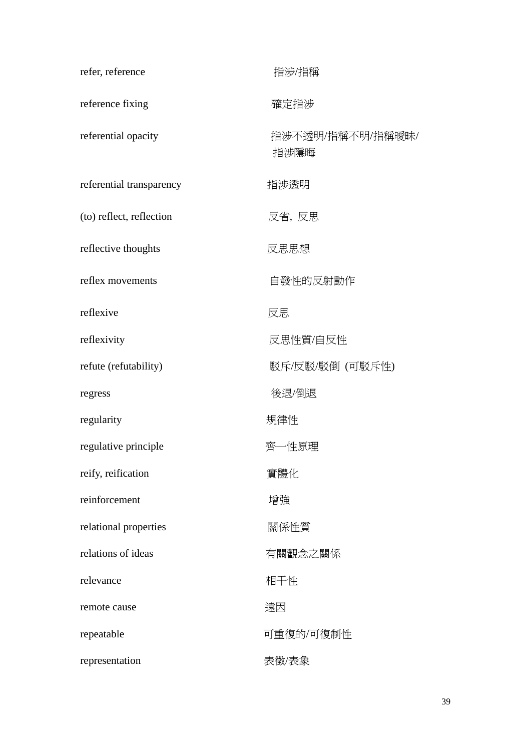| refer, reference         | 指涉/指稱                    |
|--------------------------|--------------------------|
| reference fixing         | 確定指涉                     |
| referential opacity      | 指涉不透明/指稱不明/指稱曖昧/<br>指涉隱晦 |
| referential transparency | 指涉透明                     |
| (to) reflect, reflection | 反省, 反思                   |
| reflective thoughts      | 反思思想                     |
| reflex movements         | 自發性的反射動作                 |
| reflexive                | 反思                       |
| reflexivity              | 反思性質/自反性                 |
| refute (refutability)    | 駁斥/反駁/駁倒 (可駁斥性)          |
| regress                  | 後退/倒退                    |
| regularity               | 規律性                      |
| regulative principle     | 齊一性原理                    |
| reify, reification       | 實體化                      |
| reinforcement            | 增強                       |
| relational properties    | 關係性質                     |
| relations of ideas       | 有關觀念之關係                  |
| relevance                | 相干性                      |
| remote cause             | 遠因                       |
| repeatable               | 可重復的/可復制性                |
| representation           | 表徵/表象                    |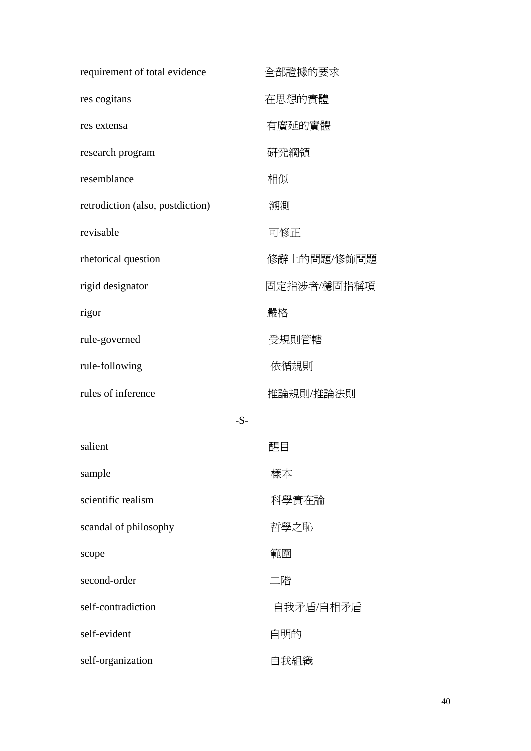| requirement of total evidence    | 全部證據的要求     |
|----------------------------------|-------------|
| res cogitans                     | 在思想的實體      |
| res extensa                      | 有廣延的實體      |
| research program                 | 研究綱領        |
| resemblance                      | 相似          |
| retrodiction (also, postdiction) | 溯測          |
| revisable                        | 可修正         |
| rhetorical question              | 修辭上的問題/修飾問題 |
| rigid designator                 | 固定指涉者/穩固指稱項 |
| rigor                            | 嚴格          |
| rule-governed                    | 受規則管轄       |
| rule-following                   | 依循規則        |
| rules of inference               | 推論規則/推論法則   |
|                                  | $-S-$       |
| salient                          | 醒目          |
| sample                           | 樣本          |
| scientific realism               | 科學實在論       |
| scandal of philosophy            | 哲學之恥        |
| scope                            | 範圍          |
| second-order                     | 二階          |
| self-contradiction               | 自我矛盾/自相矛盾   |
| self-evident                     | 自明的         |
| self-organization                | 自我組織        |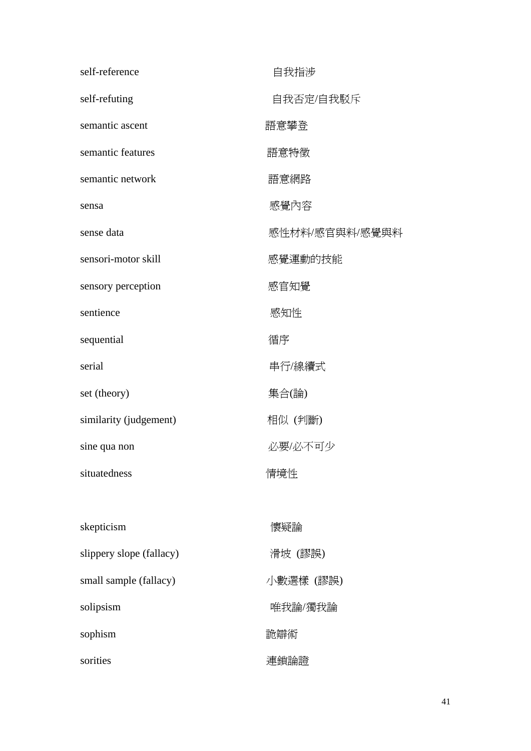| self-reference           | 自我指涉           |
|--------------------------|----------------|
| self-refuting            | 自我否定/自我駁斥      |
| semantic ascent          | 語意攀登           |
| semantic features        | 語意特徵           |
| semantic network         | 語意網路           |
| sensa                    | 感覺內容           |
| sense data               | 感性材料/感官與料/感覺與料 |
| sensori-motor skill      | 感覺運動的技能        |
| sensory perception       | 感官知覺           |
| sentience                | 感知性            |
| sequential               | 循序             |
| serial                   | 串行/線續式         |
| set (theory)             | 集合(論)          |
| similarity (judgement)   | 相似 (判斷)        |
| sine qua non             | 必要/必不可少        |
| situatedness             | 情境性            |
|                          |                |
| skepticism               | 懷疑論            |
| slippery slope (fallacy) | 滑坡 (謬誤)        |
| small sample (fallacy)   | 小數選樣 (謬誤)      |
| solipsism                | 唯我論/獨我論        |
| sophism                  | 詭辯術            |
| sorities                 | 連鎖論證           |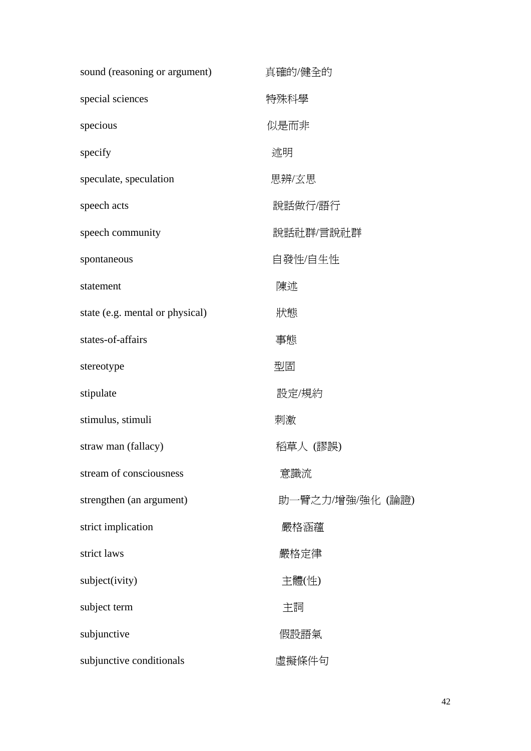| sound (reasoning or argument)   | 真確的/健全的          |
|---------------------------------|------------------|
| special sciences                | 特殊科學             |
| specious                        | 似是而非             |
| specify                         | 述明               |
| speculate, speculation          | 思辨/玄思            |
| speech acts                     | 說話做行/語行          |
| speech community                | 說話社群/言說社群        |
| spontaneous                     | 自發性/自生性          |
| statement                       | 陳述               |
| state (e.g. mental or physical) | 狀態               |
| states-of-affairs               | 事態               |
| stereotype                      | 型固               |
| stipulate                       | 設定/規約            |
| stimulus, stimuli               | 刺激               |
| straw man (fallacy)             | 稻草人 (謬誤)         |
| stream of consciousness         | 意識流              |
| strengthen (an argument)        | 助一臂之力/增強/強化 (論證) |
| strict implication              | 嚴格涵蘊             |
| strict laws                     | 嚴格定律             |
| subject(ivity)                  | 主體(性)            |
| subject term                    | 主詞               |
| subjunctive                     | 假設語氣             |
| subjunctive conditionals        | 虛擬條件句            |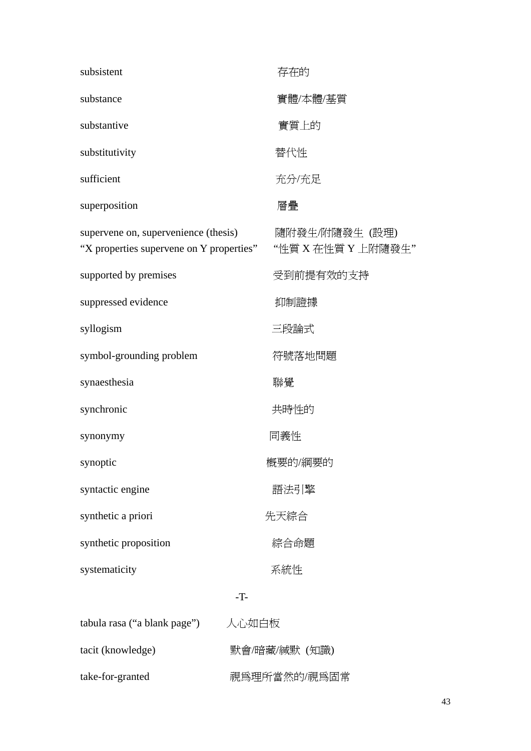| subsistent                                                                       | 存在的                                  |
|----------------------------------------------------------------------------------|--------------------------------------|
| substance                                                                        | 實體/本體/基質                             |
| substantive                                                                      | 實質上的                                 |
| substitutivity                                                                   | 替代性                                  |
| sufficient                                                                       | 充分/充足                                |
| superposition                                                                    | 層疊                                   |
| supervene on, supervenience (thesis)<br>"X properties supervene on Y properties" | 隨附發生/附隨發生 (設理)<br>"性質 X 在性質 Y 上附隨發生" |
| supported by premises                                                            | 受到前提有效的支持                            |
| suppressed evidence                                                              | 抑制證據                                 |
| syllogism                                                                        | 三段論式                                 |
| symbol-grounding problem                                                         | 符號落地問題                               |
| synaesthesia                                                                     | 聯覺                                   |
| synchronic                                                                       | 共時性的                                 |
| synonymy                                                                         | 同義性                                  |
| synoptic                                                                         | 概要的/綱要的                              |
| syntactic engine                                                                 | 語法引擎                                 |
| synthetic a priori                                                               | 先天綜合                                 |
| synthetic proposition                                                            | 綜合命題                                 |
| systematicity                                                                    | 系統性                                  |
|                                                                                  | $-T$ -                               |
| tabula rasa ("a blank page")                                                     | 人心如白板                                |
| tacit (knowledge)                                                                | 默會/暗藏/緘默 (知識)                        |
| take-for-granted                                                                 | 視爲理所當然的/視爲固常                         |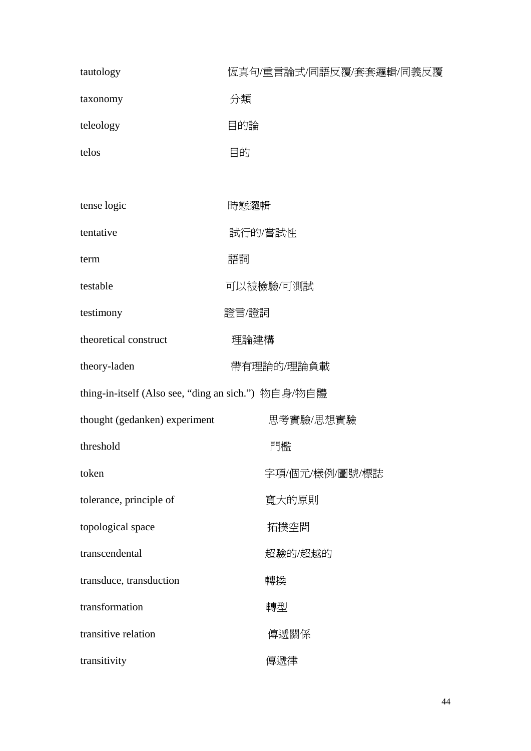| tautology                                           | 恆真句/重言論式/同語反覆/套套邏輯/同義反覆 |
|-----------------------------------------------------|-------------------------|
| taxonomy                                            | 分類                      |
| teleology                                           | 目的論                     |
| telos                                               | 目的                      |
|                                                     |                         |
| tense logic                                         | 時態邏輯                    |
| tentative                                           | 試行的/嘗試性                 |
| term                                                | 語詞                      |
| testable                                            | 可以被檢驗/可測試               |
| testimony                                           | 證言/證詞                   |
| theoretical construct                               | 理論建構                    |
| theory-laden                                        | 帶有理論的/理論負載              |
| thing-in-itself (Also see, "ding an sich.") 物自身/物自體 |                         |
| thought (gedanken) experiment                       | 思考實驗/思想實驗               |
| threshold                                           | 門檻                      |
| token                                               | 字項/個元/樣例/圖號/標誌          |
| tolerance, principle of                             | 寬大的原則                   |
| topological space                                   | 拓撲空間                    |
| transcendental                                      | 超驗的/超越的                 |
| transduce, transduction                             | 轉換                      |
| transformation                                      | 轉型                      |
| transitive relation                                 | 傳遞關係                    |
| transitivity                                        | 傳遞律                     |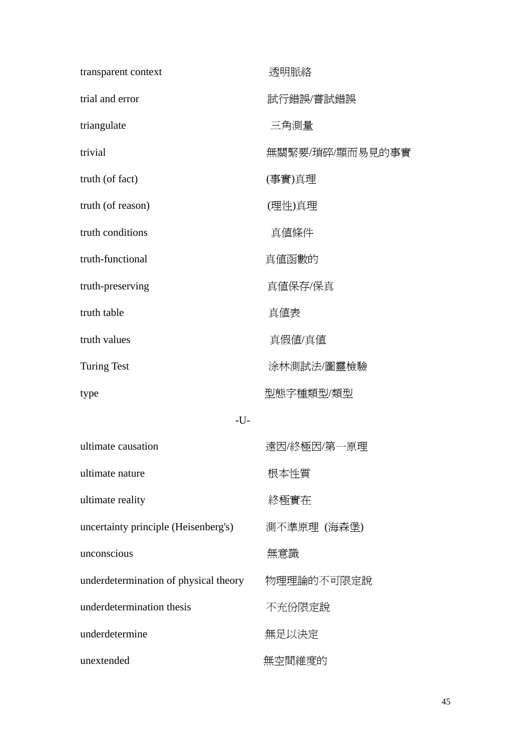| transparent context                   | 透明脈絡            |
|---------------------------------------|-----------------|
| trial and error                       | 試行錯誤/嘗試錯誤       |
| triangulate                           | 三角測量            |
| trivial                               | 無關緊要/瑣碎/顯而易見的事實 |
| truth (of fact)                       | (事實)真理          |
| truth (of reason)                     | (理性)真理          |
| truth conditions                      | 真値條件            |
| truth-functional                      | 真値函數的           |
| truth-preserving                      | 真値保存/保真         |
| truth table                           | 真値表             |
| truth values                          | 真假値/真値          |
| <b>Turing Test</b>                    | 涂林測試法/圖靈檢驗      |
| type                                  | 型態字種類型/類型       |
| $-U$ -                                |                 |
| ultimate causation                    | 遠因/終極因/第一原理     |
| ultimate nature                       | 根本性質            |
| ultimate reality                      | 終極實在            |
| uncertainty principle (Heisenberg's)  | 測不準原理 (海森堡)     |
| unconscious                           | 無意識             |
| underdetermination of physical theory | 物理理論的不可限定說      |
| underdetermination thesis             | 不充份限定說          |
| underdetermine                        | 無足以決定           |
| unextended                            | 無空間維度的          |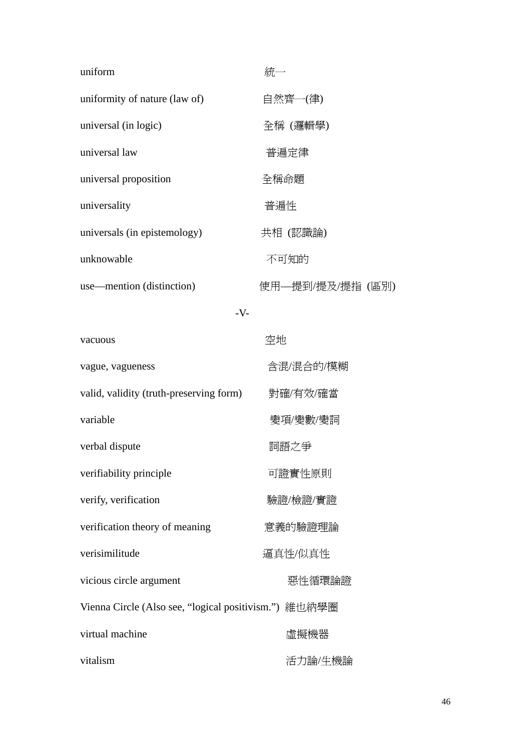| uniform                                               | 統一               |
|-------------------------------------------------------|------------------|
| uniformity of nature (law of)                         | 自然齊一(律)          |
| universal (in logic)                                  | 全稱 (邏輯學)         |
| universal law                                         | 普遍定律             |
| universal proposition                                 | 全稱命題             |
| universality                                          | 普遍性              |
| universals (in epistemology)                          | 共相 (認識論)         |
| unknowable                                            | 不可知的             |
| use—mention (distinction)                             | 使用—提到/提及/提指 (區別) |
| $-V$ -                                                |                  |
| vacuous                                               | 空地               |
| vague, vagueness                                      | 含混/混合的/模糊        |
| valid, validity (truth-preserving form)               | 對確/有效/確當         |
| variable                                              | 變項/變數/變詞         |
| verbal dispute                                        | 詞語之爭             |
| verifiability principle                               | 可證實性原則           |
| verify, verification                                  | 驗證/檢證/實證         |
| verification theory of meaning                        | 意義的驗證理論          |
| verisimilitude                                        | 逼真性/似真性          |
| vicious circle argument                               | 惡性循環論證           |
| Vienna Circle (Also see, "logical positivism.") 維也納學圈 |                  |
| virtual machine                                       | 虛擬機器             |
| vitalism                                              | 活力論/生機論          |